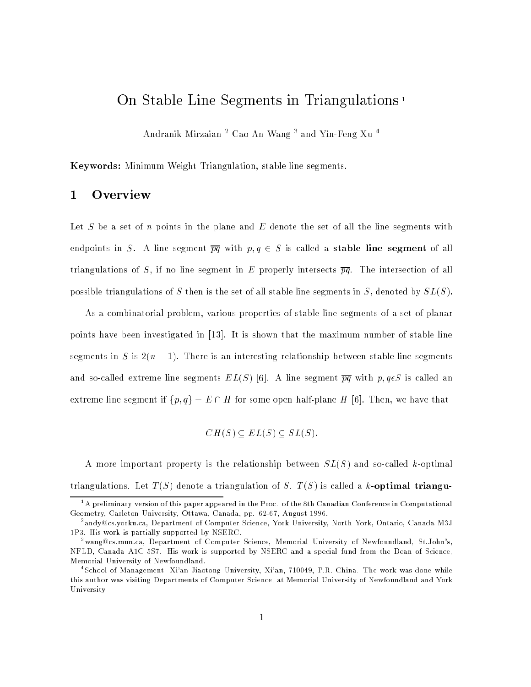# On Stable Line Segments in Triangulations <sup>1</sup>

Andramik Mirzaian - Cao An Wang ~ and Yin-Feng Au -

Keywords: Minimum Weight Triangulation, stable line segments.

## 1 Overview

Let S be a set of n points in the plane and E denote the set of all the line segments with endpoints in S. A line segment  $\overline{pq}$  with  $p, q \in S$  is called a **stable line segment** of all triangulations of S, if no line segment in E properly intersects  $\overline{pq}$ . The intersection of all possible triangulations of S then is the set of all stable line segments in S, denoted by  $SL(S)$ .

As a combinatorial problem, various properties of stable line segments of a set of planar points have been investigated in [13]. It is shown that the maximum number of stable line segments in S is  $2(n-1)$ . There is an interesting relationship between stable line segments and so-called extreme line segments  $EL(S)$  [6]. A line segment  $\overline{pq}$  with  $p, q \epsilon S$  is called an extreme line segment if  $\{p, q\} = E \cap H$  for some open half-plane H [6]. Then, we have that

$$
CH(S) \subseteq EL(S) \subseteq SL(S).
$$

A more important property is the relationship between  $SL(S)$  and so-called k-optimal triangulations. Let  $T(S)$  denote a triangulation of S.  $T(S)$  is called a k-optimal triangu-

<sup>1</sup> A preliminary version of this paper appeared in the Proc. of the 8th Canadian Conference in Computational Geometry, Carleton University, Ottawa, Canada, pp. 62-67, August 1996.

<sup>2</sup> andy@cs.yorku.ca, Department of Computer Science, York University, North York, Ontario, Canada M3J 1P3. His work is partially supported by NSERC.

<sup>3</sup> wang@cs.mun.ca, Department of Computer Science, Memorial University of Newfoundland, St.John's, NFLD, Canada A1C 5S7. His work is supported by NSERC and a special fund from the Dean of Science, Memorial University of Newfoundland.

<sup>4</sup> School of Management, Xi'an Jiaotong University, Xi'an, 710049, P.R. China. The work was done while this author was visiting Departments of Computer Science, at Memorial University of Newfoundland and York University.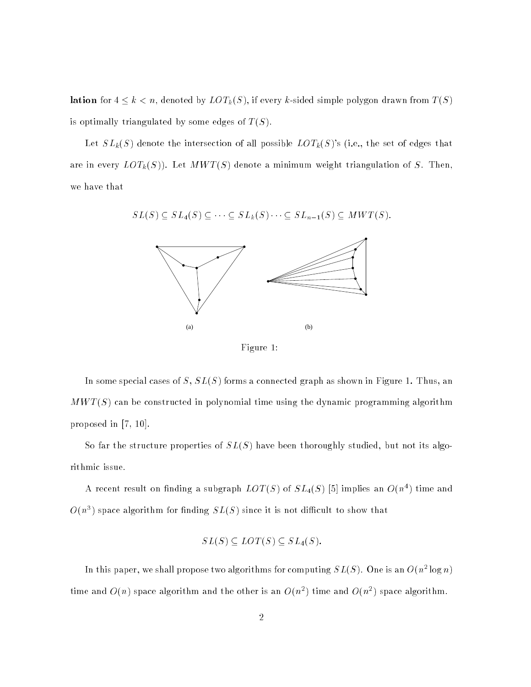lation for  $4 \leq k < n$ , denoted by  $LOT_k(S)$ , if every k-sided simple polygon drawn from  $T(S)$ is optimally triangulated by some edges of  $T(S)$ .

Let  $SL_k(S)$  denote the intersection of all possible  $LOT_k(S)$ 's (i.e., the set of edges that are in every  $LOT_k(S)$ ). Let  $MWT(S)$  denote a minimum weight triangulation of S. Then, we have that

 $SL(S) \subseteq SL_4(S) \subseteq \cdots \subseteq SL_k(S) \cdots \subseteq SL_{n-1}(S) \subseteq MWT(S).$ 



Figure 1:

In some special cases of  $S$ ,  $SL(S)$  forms a connected graph as shown in Figure 1. Thus, an  $MWT(S)$  can be constructed in polynomial time using the dynamic programming algorithm proposed in [7, 10].

So far the structure properties of  $SL(S)$  have been thoroughly studied, but not its algorithmic issue.

A recent result on finding a subgraph  $LOT(S)$  of  $SL_4(S)$  [5] implies an  $O(n<sup>4</sup>)$  time and  $O(n^3)$  space algorithm for finding  $SL(S)$  since it is not difficult to show that

$$
SL(S) \subseteq LOT(S) \subseteq SL_4(S).
$$

In this paper, we shall propose two algorithms for computing  $SL(S)$ . One is an  $O(n^2\log n)$ time and  $O(n)$  space algorithm and the other is an  $O(n^2)$  time and  $O(n^2)$  space algorithm.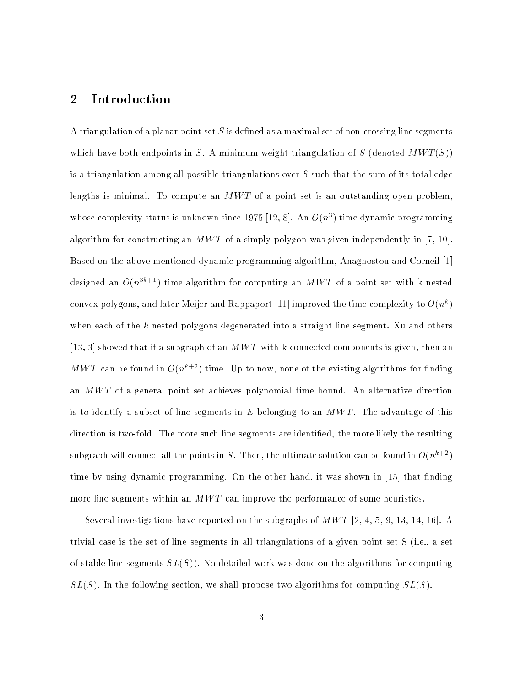### 2 Introduction

A triangulation of a planar point set  $S$  is defined as a maximal set of non-crossing line segments which have both endpoints in S. A minimum weight triangulation of S (denoted  $MWT(S)$ ) is a triangulation among all possible triangulations over  $S$  such that the sum of its total edge lengths is minimal. To compute an  $MWT$  of a point set is an outstanding open problem, whose complexity status is unknown since 1975 [12, 8]. An  $O(n^3)$  time dynamic programming algorithm for constructing an  $MWT$  of a simply polygon was given independently in [7, 10]. Based on the above mentioned dynamic programming algorithm, Anagnostou and Corneil [1] designed an  $O(n^{3k+1})$  time algorithm for computing an  $MWT$  of a point set with k nested convex polygons, and later Meijer and Rappaport [11] improved the time complexity to  $O(n^k)$ when each of the k nested polygons degenerated into a straight line segment. Xu and others [13, 3] showed that if a subgraph of an  $MWT$  with k connected components is given, then an MWT can be found in  $O(n^{k+2})$  time. Up to now, none of the existing algorithms for finding an  $MWT$  of a general point set achieves polynomial time bound. An alternative direction is to identify a subset of line segments in E belonging to an  $MWT$ . The advantage of this direction is two-fold. The more such line segments are identied, the more likely the resulting subgraph will connect all the points in S. Then, the ultimate solution can be found in  $O(n^{k+2})$ time by using dynamic programming. On the other hand, it was shown in [15] that finding more line segments within an  $MWT$  can improve the performance of some heuristics.

Several investigations have reported on the subgraphs of  $MWT$  [2, 4, 5, 9, 13, 14, 16]. A trivial case is the set of line segments in all triangulations of a given point set S (i.e., a set of stable line segments  $SL(S)$ ). No detailed work was done on the algorithms for computing  $SL(S)$ . In the following section, we shall propose two algorithms for computing  $SL(S)$ .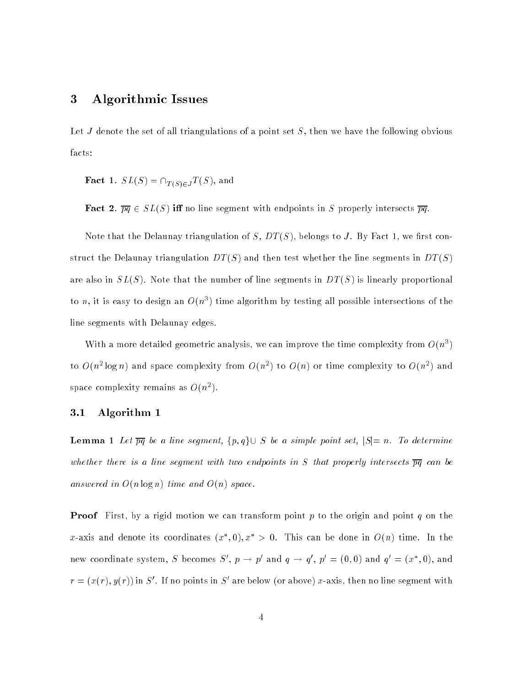### 3 Algorithmic Issues

Let J denote the set of all triangulations of a point set  $S$ , then we have the following obvious facts:

**Fact** 1.  $SL(S) = \bigcap_{T(S) \in J} T(S)$ , and

Fact 2.  $\overline{pq} \in SL(S)$  iff no line segment with endpoints in S properly intersects  $\overline{pq}$ .

Note that the Delaunay triangulation of  $S, DT(S)$ , belongs to J. By Fact 1, we first construct the Delaunay triangulation  $DT(S)$  and then test whether the line segments in  $DT(S)$ are also in  $SL(S)$ . Note that the number of line segments in  $DT(S)$  is linearly proportional to n, it is easy to design an  $O(n^3)$  time algorithm by testing all possible intersections of the line segments with Delaunay edges.

With a more detailed geometric analysis, we can improve the time complexity from  $O(n^3)$ to  $O(n^2 \log n)$  and space complexity from  $O(n^2)$  to  $O(n)$  or time complexity to  $O(n^2)$  and space complexity remains as  $O(n^2)$ .

#### 3.1 Algorithm 1

**Lemma 1** Let  $\overline{pq}$  be a line segment,  $\{p,q\} \cup S$  be a simple point set,  $|S|=n$ . To determine whether there is a line segment with two endpoints in S that properly intersects  $\overline{pq}$  can be answered in  $O(n \log n)$  time and  $O(n)$  space.

**Proof** First, by a rigid motion we can transform point p to the origin and point q on the x-axis and denote its coordinates  $(x^*,0), x^* > 0$ . This can be done in  $O(n)$  time. In the new coordinate system, S becomes  $S', p \rightarrow p'$  and  $q \rightarrow q', p' = (0,0)$  and  $q' = (x^*,0)$ , and  $r = (x(r), y(r))$  in S'. If no points in S' are below (or above) x-axis, then no line segment with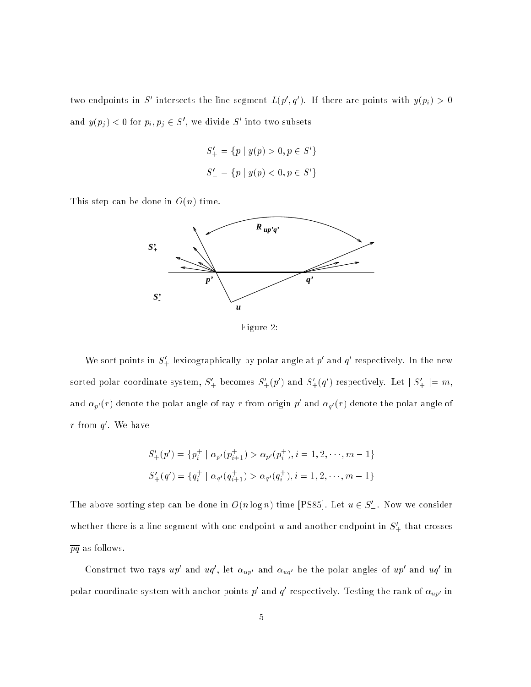two endpoints in S' intersects the line segment  $L(p', q')$ . If there are points with  $y(p_i) > 0$ and  $y(p_i) < 0$  for  $p_i, p_j \in S'$ , we divide S' into two subsets

$$
S'_{+} = \{ p \mid y(p) > 0, p \in S' \}
$$
  

$$
S'_{-} = \{ p \mid y(p) < 0, p \in S' \}
$$

This step can be done in  $O(n)$  time.



Figure 2:

We sort points in  $S'_+$  lexicographically by polar angle at  $p'$  and  $q'$  respectively. In the new sorted polar coordinate system,  $S'_{+}$  becomes  $S'_{+}(p')$  and  $S'_{+}(q')$  respectively. Let  $|S'_{+}| = m$ , and  $\alpha_{p'}(r)$  denote the polar angle of ray  $r$  from origin  $p$  and  $\alpha_{q'}(r)$  denote the polar angle of  $r$  from  $q$  . We have

$$
S'_{+}(p') = \{p_i^+ \mid \alpha_{p'}(p_{i+1}^+) > \alpha_{p'}(p_i^+), i = 1, 2, \cdots, m-1\}
$$
  

$$
S'_{+}(q') = \{q_i^+ \mid \alpha_{q'}(q_{i+1}^+) > \alpha_{q'}(q_i^+), i = 1, 2, \cdots, m-1\}
$$

The above sorting step can be done in  $O(n\log n)$  time [PS85]. Let  $u \in S'_-$  . Now we consider whether there is a line segment with one endpoint u and another endpoint in  $S'_{+}$  that crosses  $\overline{pq}$  as follows.

Construct two rays  $up$  and  $uq$  , let  $\alpha_{up'}$  and  $\alpha_{uq'}$  be the polar angles of  $up$  and  $uq$  in polar coordinate system with anchor points  $p$  and  $q$  respectively. Testing the rank of  $\alpha_{up'}$  in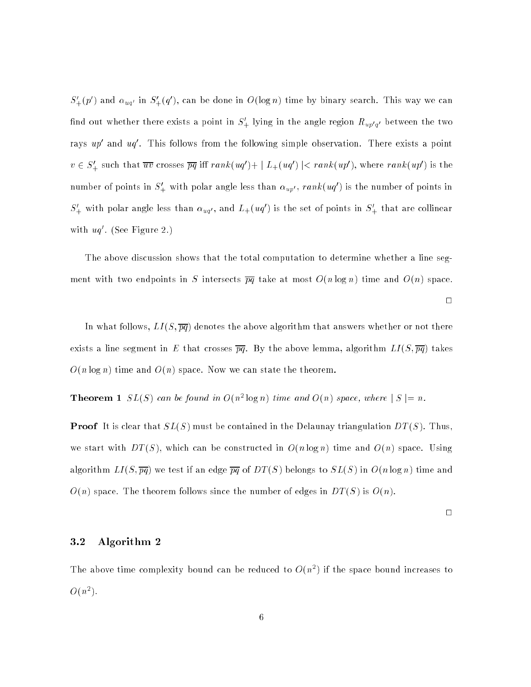$S'_{+}(p')$  and  $\alpha_{uq'}$  in  $S'_{+}(q')$ , can be done in  $O(\log n)$  time by binary search. This way we can find out whether there exists a point in  $S'_{+}$  lying in the angle region  $R_{up'q'}$  between the two rays  $up$  and  $uq$  . This follows from the following simple observation. There exists a point  $v\in S_+'$  such that  $\overline{uv}$  crosses  $\overline{pq}$  iff  $rank(uq')+|L_+(uq')|< rank(up'),$  where  $rank(up')$  is the number of points in  $S'_{+}$  with polar angle less than  $\alpha_{uv'}$ , rank $( uq')$  is the number of points in  $S'_{+}$  with polar angle less than  $\alpha_{uq'}$ , and  $L_{+}(uq')$  is the set of points in  $S'_{+}$  that are collinear with  $uq$  . (See Figure 2.)

The above discussion shows that the total computation to determine whether a line segment with two endpoints in S intersects  $\overline{pq}$  take at most  $O(n \log n)$  time and  $O(n)$  space.

 $\Box$ 

In what follows,  $LI(S,\overline{pq})$  denotes the above algorithm that answers whether or not there exists a line segment in E that crosses  $\overline{pq}$ . By the above lemma, algorithm  $LI(S,\overline{pq})$  takes  $O(n \log n)$  time and  $O(n)$  space. Now we can state the theorem.

**Theorem 1**  $SL(S)$  can be found in  $O(n^2 \log n)$  time and  $O(n)$  space, where  $|S| = n$ .

**Proof** It is clear that  $SL(S)$  must be contained in the Delaunay triangulation  $DT(S)$ . Thus, we start with  $DT(S)$ , which can be constructed in  $O(n \log n)$  time and  $O(n)$  space. Using algorithm  $LI(S,\overline{pq})$  we test if an edge  $\overline{pq}$  of  $DT(S)$  belongs to  $SL(S)$  in  $O(n\log n)$  time and  $O(n)$  space. The theorem follows since the number of edges in  $DT(S)$  is  $O(n)$ .

 $\Box$ 

#### 3.2 Algorithm 2

The above time complexity bound can be reduced to  $O(n^2)$  if the space bound increases to  $O(n^2)$ .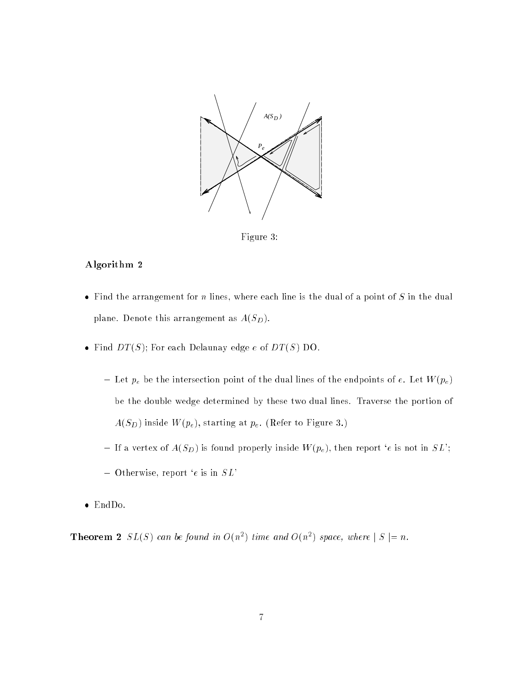

Figure 3:

#### Algorithm 2

- Find the arrangement for n lines, where each line is the dual of a point of S in the dual plane. Denote this arrangement as  $A(S_D)$ .
- Find  $DT(S)$ ; For each Delaunay edge e of  $DT(S)$  DO.
	- ${}-$  Let  $p_e$  be the intersection point of the dual lines of the endpoints of  $e$ . Let  $W(p_e)$ be the double wedge determined by these two dual lines. Traverse the portion of  $A(S_D)$  inside  $W(p_e)$ , starting at  $p_e$ . (Refer to Figure 3.)
	- If a vertex of  $A(S_D)$  is found properly inside  $W(p_e)$ , then report 'e is not in  $SL$ ';
	- ${\rm -}$  Otherwise, report 'e is in  $SL^2$
- 

**Theorem 2**  $SL(S)$  can be found in  $O(n^2)$  time and  $O(n^2)$  space, where  $|S| = n$ .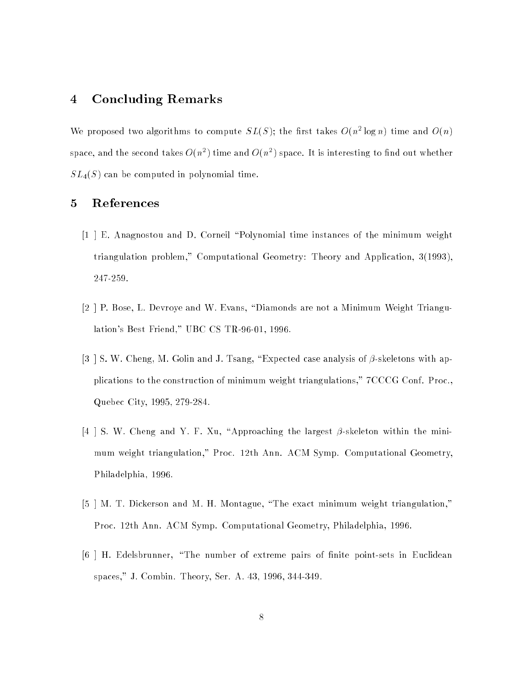## 4 Concluding Remarks

We proposed two algorithms to compute  $SL(S)$ ; the first takes  $O(n^2 \log n)$  time and  $O(n)$ space, and the second takes  $O(n^2)$  time and  $O(n^2)$  space. It is interesting to find out whether  $SL_4(S)$  can be computed in polynomial time.

## 5 References

- [1 ] E. Anagnostou and D. Corneil \Polynomial time instances of the minimum weight triangulation problem," Computational Geometry: Theory and Application, 3(1993), 247-259.
- $[2]$  P. Bose, L. Devroye and W. Evans, "Diamonds are not a Minimum Weight Triangulation's Best Friend," UBC CS TR-96-01, 1996.
- [3 ] S. W. Cheng, M. Golin and J. Tsang, "Expected case analysis of  $\beta$ -skeletons with applications to the construction of minimum weight triangulations," 7CCCG Conf. Proc., Quebec City, 1995, 279-284.
- [4 ] S. W. Cheng and Y. F. Xu, "Approaching the largest  $\beta$ -skeleton within the minimum weight triangulation," Proc. 12th Ann. ACM Symp. Computational Geometry, Philadelphia, 1996.
- [5 ] M. T. Dickerson and M. H. Montague, \The exact minimum weight triangulation," Proc. 12th Ann. ACM Symp. Computational Geometry, Philadelphia, 1996.
- [6] H. Edelsbrunner, "The number of extreme pairs of finite point-sets in Euclidean spaces," J. Combin. Theory, Ser. A. 43, 1996, 344-349.